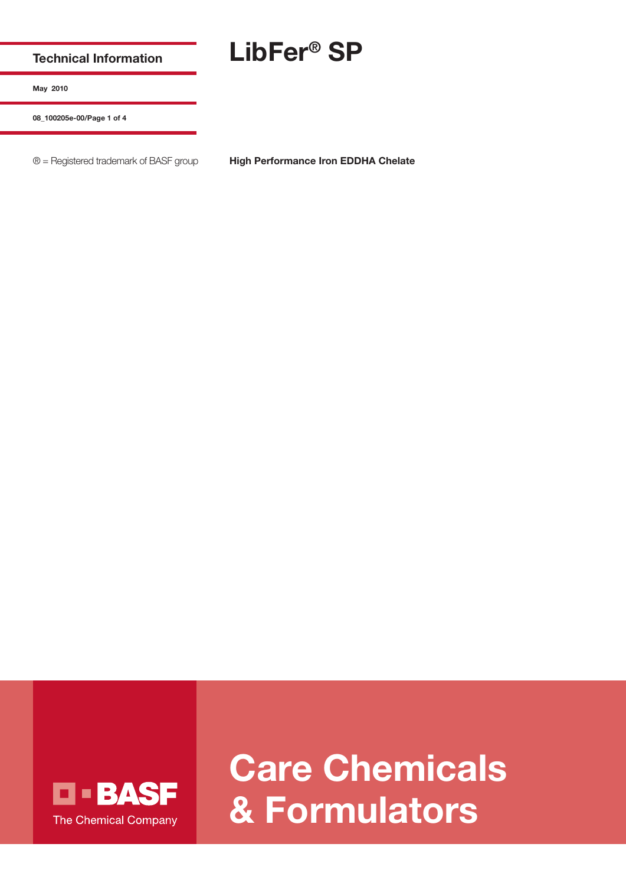**Technical Information**

## **LibFer® SP**

**May 2010**

**08\_100205e-00/Page 1 of 4**

® = Registered trademark of BASF group **High Performance Iron EDDHA Chelate**



**Care Chemicals & Formulators**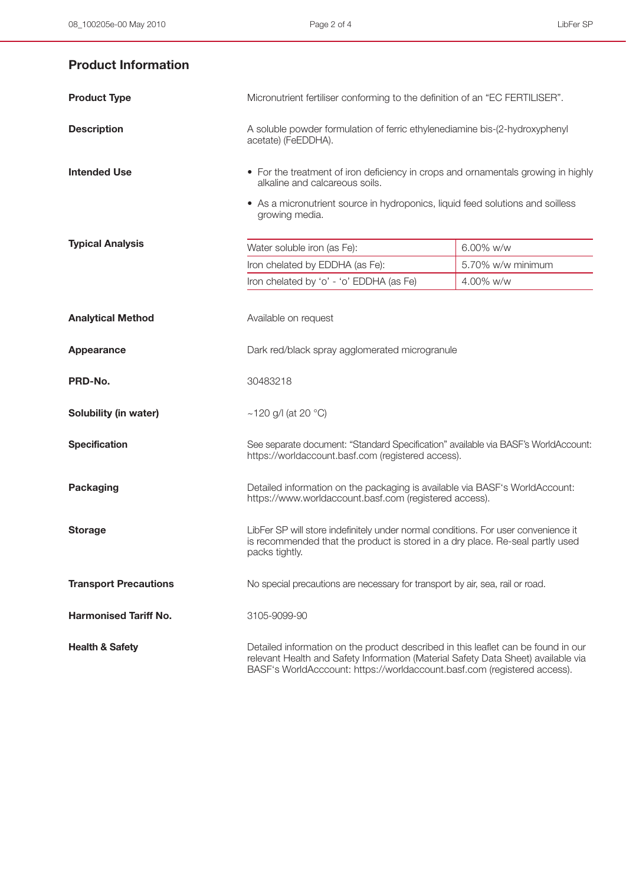| <b>Product Information</b> |  |
|----------------------------|--|
|----------------------------|--|

| <b>Product Type</b>          | Micronutrient fertiliser conforming to the definition of an "EC FERTILISER".                                                                                                                                                                       |                   |  |
|------------------------------|----------------------------------------------------------------------------------------------------------------------------------------------------------------------------------------------------------------------------------------------------|-------------------|--|
| <b>Description</b>           | A soluble powder formulation of ferric ethylenediamine bis-(2-hydroxyphenyl<br>acetate) (FeEDDHA).                                                                                                                                                 |                   |  |
| <b>Intended Use</b>          | • For the treatment of iron deficiency in crops and ornamentals growing in highly<br>alkaline and calcareous soils.                                                                                                                                |                   |  |
|                              | • As a micronutrient source in hydroponics, liquid feed solutions and soilless<br>growing media.                                                                                                                                                   |                   |  |
| <b>Typical Analysis</b>      | Water soluble iron (as Fe):                                                                                                                                                                                                                        | 6.00% w/w         |  |
|                              | Iron chelated by EDDHA (as Fe):                                                                                                                                                                                                                    | 5.70% w/w minimum |  |
|                              | Iron chelated by 'o' - 'o' EDDHA (as Fe)                                                                                                                                                                                                           | 4.00% w/w         |  |
| <b>Analytical Method</b>     | Available on request                                                                                                                                                                                                                               |                   |  |
| Appearance                   | Dark red/black spray agglomerated microgranule                                                                                                                                                                                                     |                   |  |
| PRD-No.                      | 30483218                                                                                                                                                                                                                                           |                   |  |
| Solubility (in water)        | ~120 g/l (at 20 °C)                                                                                                                                                                                                                                |                   |  |
| <b>Specification</b>         | See separate document: "Standard Specification" available via BASF's WorldAccount:<br>https://worldaccount.basf.com (registered access).                                                                                                           |                   |  |
| Packaging                    | Detailed information on the packaging is available via BASF's WorldAccount:<br>https://www.worldaccount.basf.com (registered access).                                                                                                              |                   |  |
| <b>Storage</b>               | LibFer SP will store indefinitely under normal conditions. For user convenience it<br>is recommended that the product is stored in a dry place. Re-seal partly used<br>packs tightly.                                                              |                   |  |
| <b>Transport Precautions</b> | No special precautions are necessary for transport by air, sea, rail or road.                                                                                                                                                                      |                   |  |
| <b>Harmonised Tariff No.</b> | 3105-9099-90                                                                                                                                                                                                                                       |                   |  |
| <b>Health &amp; Safety</b>   | Detailed information on the product described in this leaflet can be found in our<br>relevant Health and Safety Information (Material Safety Data Sheet) available via<br>BASF's WorldAcccount: https://worldaccount.basf.com (registered access). |                   |  |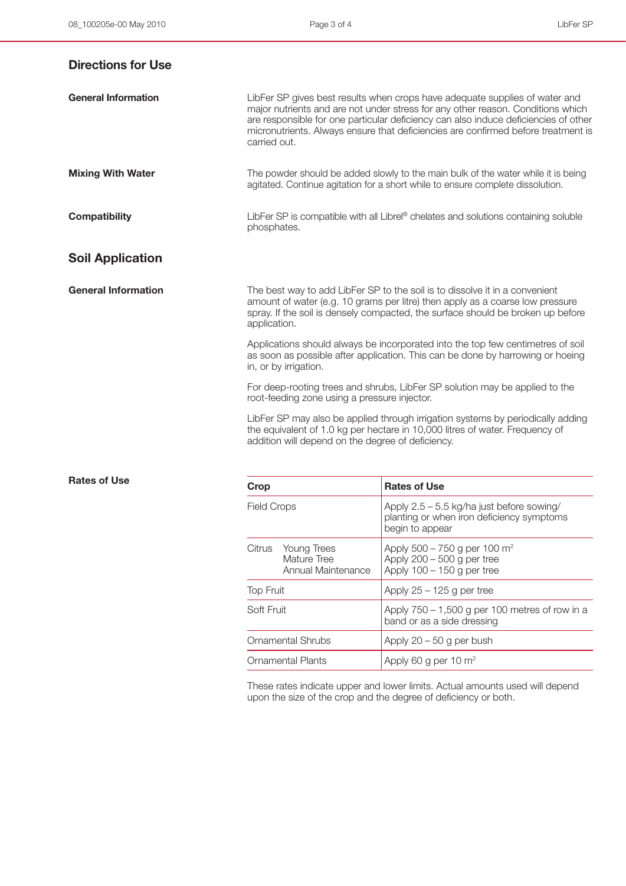| <b>Directions for Use</b>  |                                                                                                                                                                                                                                                                                                                                                            |
|----------------------------|------------------------------------------------------------------------------------------------------------------------------------------------------------------------------------------------------------------------------------------------------------------------------------------------------------------------------------------------------------|
| <b>General Information</b> | LibFer SP gives best results when crops have adequate supplies of water and<br>major nutrients and are not under stress for any other reason. Conditions which<br>are responsible for one particular deficiency can also induce deficiencies of other<br>micronutrients. Always ensure that deficiencies are confirmed before treatment is<br>carried out. |
| <b>Mixing With Water</b>   | The powder should be added slowly to the main bulk of the water while it is being<br>agitated. Continue agitation for a short while to ensure complete dissolution.                                                                                                                                                                                        |
| <b>Compatibility</b>       | LibFer SP is compatible with all Librel <sup>®</sup> chelates and solutions containing soluble<br>phosphates.                                                                                                                                                                                                                                              |
| <b>Soil Application</b>    |                                                                                                                                                                                                                                                                                                                                                            |
| <b>General Information</b> | The best way to add LibFer SP to the soil is to dissolve it in a convenient<br>amount of water (e.g. 10 grams per litre) then apply as a coarse low pressure<br>spray. If the soil is densely compacted, the surface should be broken up before<br>application.                                                                                            |
|                            | Applications should always be incorporated into the top few centimetres of soil<br>as soon as possible after application. This can be done by harrowing or hoeing<br>in, or by irrigation.                                                                                                                                                                 |
|                            | For deep-rooting trees and shrubs, LibFer SP solution may be applied to the<br>root-feeding zone using a pressure injector.                                                                                                                                                                                                                                |
|                            | LibFer SP may also be applied through irrigation systems by periodically adding<br>the equivalent of 1.0 kg per hectare in 10,000 litres of water. Frequency of<br>addition will depend on the degree of deficiency.                                                                                                                                       |
| <b>Rates of Use</b>        |                                                                                                                                                                                                                                                                                                                                                            |

| <b>Rates of Use</b> | Crop                                                       | <b>Rates of Use</b>                                                                                        |
|---------------------|------------------------------------------------------------|------------------------------------------------------------------------------------------------------------|
|                     | <b>Field Crops</b>                                         | Apply 2.5 – 5.5 kg/ha just before sowing/<br>planting or when iron deficiency symptoms<br>begin to appear  |
|                     | Citrus<br>Young Trees<br>Mature Tree<br>Annual Maintenance | Apply $500 - 750$ g per 100 m <sup>2</sup><br>Apply $200 - 500$ g per tree<br>Apply $100 - 150$ g per tree |
|                     | <b>Top Fruit</b>                                           | Apply $25 - 125$ g per tree                                                                                |
|                     | Soft Fruit                                                 | Apply $750 - 1,500$ g per 100 metres of row in a<br>band or as a side dressing                             |
|                     | <b>Ornamental Shrubs</b>                                   | Apply $20 - 50$ g per bush                                                                                 |
|                     | <b>Ornamental Plants</b>                                   | Apply 60 g per 10 m <sup>2</sup>                                                                           |

These rates indicate upper and lower limits. Actual amounts used will depend upon the size of the crop and the degree of deficiency or both.